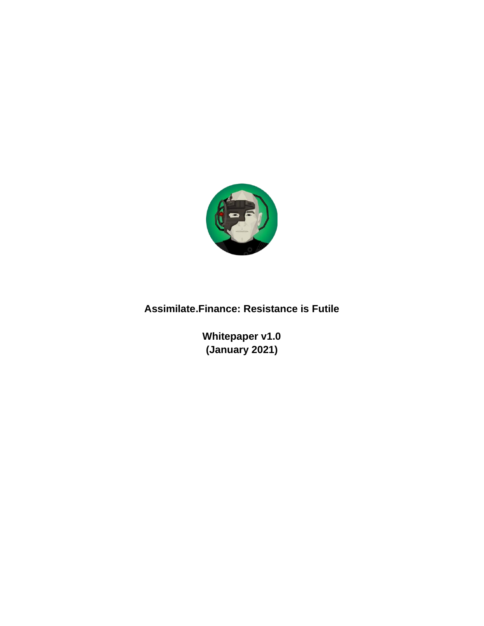

### **Assimilate.Finance: Resistance is Futile**

**Whitepaper v1.0 (January 2021)**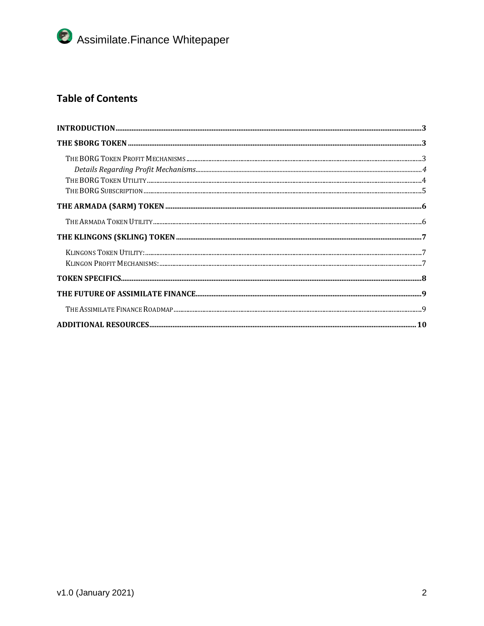### **Table of Contents**

| $\bf INTRODUCTION 3.23$ |
|-------------------------|
|                         |
|                         |
|                         |
|                         |
|                         |
|                         |
|                         |
|                         |
|                         |
|                         |
|                         |
|                         |
|                         |
|                         |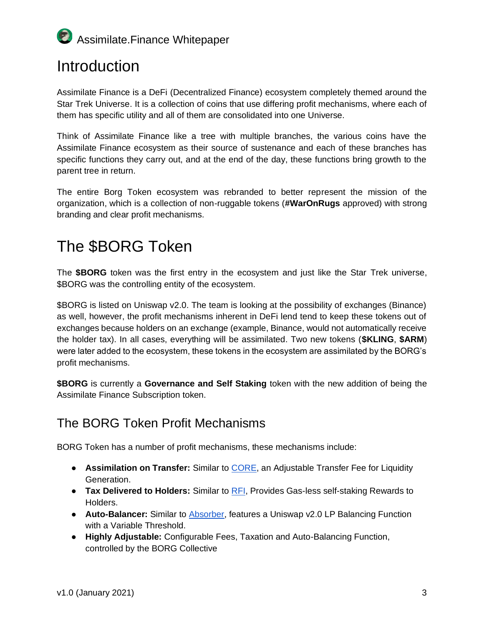## <span id="page-2-0"></span>**Introduction**

Assimilate Finance is a DeFi (Decentralized Finance) ecosystem completely themed around the Star Trek Universe. It is a collection of coins that use differing profit mechanisms, where each of them has specific utility and all of them are consolidated into one Universe.

Think of Assimilate Finance like a tree with multiple branches, the various coins have the Assimilate Finance ecosystem as their source of sustenance and each of these branches has specific functions they carry out, and at the end of the day, these functions bring growth to the parent tree in return.

The entire Borg Token ecosystem was rebranded to better represent the mission of the organization, which is a collection of non-ruggable tokens (**#WarOnRugs** approved) with strong branding and clear profit mechanisms.

# <span id="page-2-1"></span>The \$BORG Token

The **\$BORG** token was the first entry in the ecosystem and just like the Star Trek universe, \$BORG was the controlling entity of the ecosystem.

\$BORG is listed on Uniswap v2.0. The team is looking at the possibility of exchanges (Binance) as well, however, the profit mechanisms inherent in DeFi lend tend to keep these tokens out of exchanges because holders on an exchange (example, Binance, would not automatically receive the holder tax). In all cases, everything will be assimilated. Two new tokens (**\$KLING**, **\$ARM**) were later added to the ecosystem, these tokens in the ecosystem are assimilated by the BORG's profit mechanisms.

**\$BORG** is currently a **Governance and Self Staking** token with the new addition of being the Assimilate Finance Subscription token.

## <span id="page-2-2"></span>The BORG Token Profit Mechanisms

BORG Token has a number of profit mechanisms, these mechanisms include:

- **Assimilation on Transfer:** Similar t[o](https://cvault.finance/) [CORE,](https://cvault.finance/) an Adjustable Transfer Fee for Liquidity Generation.
- **Tax Delivered to Holders:** Similar t[o](https://reflect.finance/) [RFI,](https://reflect.finance/) Provides Gas-less self-staking Rewards to Holders.
- **Auto-Balancer:** Similar t[o](https://absorber.finance/) [Absorber,](https://absorber.finance/) features a Uniswap v2.0 LP Balancing Function with a Variable Threshold.
- **Highly Adjustable:** Configurable Fees, Taxation and Auto-Balancing Function, controlled by the BORG Collective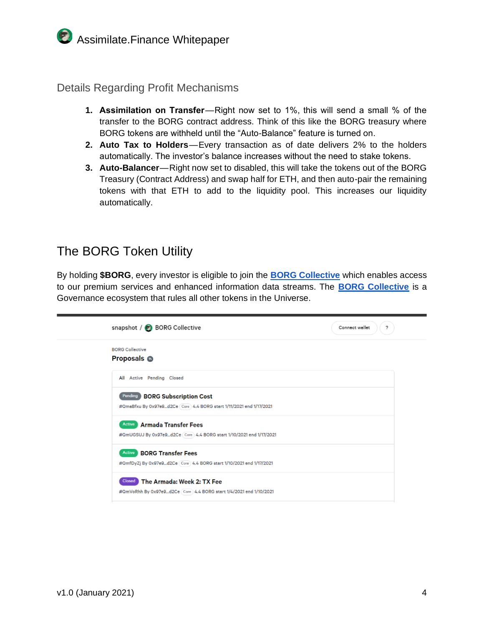<span id="page-3-0"></span>Details Regarding Profit Mechanisms

- **1. Assimilation on Transfer**—Right now set to 1%, this will send a small % of the transfer to the BORG contract address. Think of this like the BORG treasury where BORG tokens are withheld until the "Auto-Balance" feature is turned on.
- **2. Auto Tax to Holders**—Every transaction as of date delivers 2% to the holders automatically. The investor's balance increases without the need to stake tokens.
- **3. Auto-Balancer**—Right now set to disabled, this will take the tokens out of the BORG Treasury (Contract Address) and swap half for ETH, and then auto-pair the remaining tokens with that ETH to add to the liquidity pool. This increases our liquidity automatically.

### <span id="page-3-1"></span>The BORG Token Utility

By holding **\$BORG**, every investor is eligible to join th[e](https://snapshot.page/#/vote.theborg.eth) **[BORG Collective](https://snapshot.page/#/vote.theborg.eth)** which enables access to our premium services and enhanced information data streams. Th[e](https://snapshot.page/#/vote.theborg.eth) **[BORG Collective](https://snapshot.page/#/vote.theborg.eth)** is a Governance ecosystem that rules all other tokens in the Universe.

| snapshot / BORG Collective                                                                                       | ?<br>Connect wallet |
|------------------------------------------------------------------------------------------------------------------|---------------------|
| <b>BORG Collective</b><br><b>Proposals @</b>                                                                     |                     |
| All Active Pending Closed                                                                                        |                     |
| Pending BORG Subscription Cost<br>#QmaBfxu By 0x97e9d2Ce Core 4.4 BORG start 1/11/2021 end 1/17/2021             |                     |
| Active Armada Transfer Fees<br>#QmUGSUJ By 0x97e9d2Ce (Core) 4.4 BORG start 1/10/2021 end 1/17/2021              |                     |
| <b>Active BORG Transfer Fees</b><br>#OmfDyZj By 0x97e9d2Ce (Core) 4.4 BORG start 1/10/2021 end 1/17/2021         |                     |
| The Armada: Week 2: TX Fee<br><b>Closed</b><br>#QmVoRhh By 0x97e9d2Ce Core 4.4 BORG start 1/4/2021 end 1/10/2021 |                     |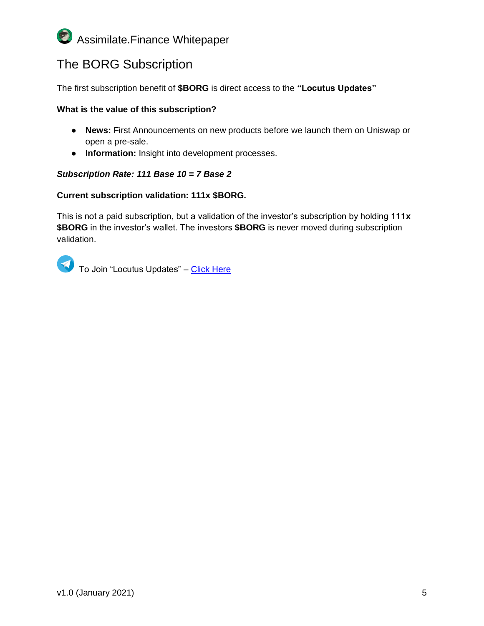## <span id="page-4-0"></span>The BORG Subscription

The first subscription benefit of **\$BORG** is direct access to the **"Locutus Updates"**

#### **What is the value of this subscription?**

- **News:** First Announcements on new products before we launch them on Uniswap or open a pre-sale.
- **Information:** Insight into development processes.

#### *Subscription Rate: 111 Base 10 = 7 Base 2*

#### **Current subscription validation: 111x \$BORG.**

This is not a paid subscription, but a validation of the investor's subscription by holding 111**x \$BORG** in the investor's wallet. The investors **\$BORG** is never moved during subscription validation.

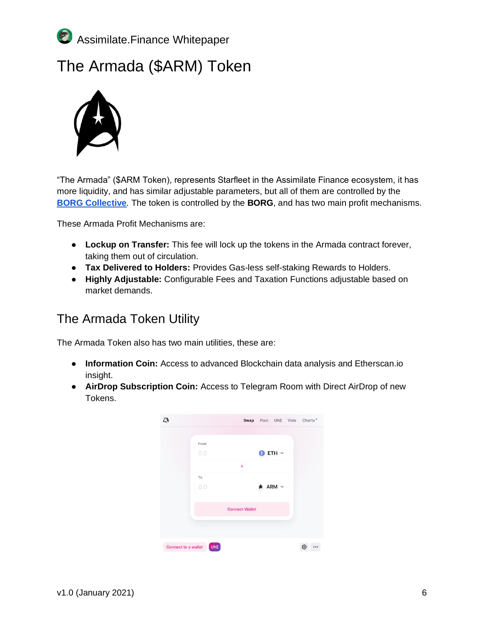

## <span id="page-5-0"></span>The Armada (\$ARM) Token



"The Armada" (\$ARM Token), represents Starfleet in the Assimilate Finance ecosystem, it has more liquidity, and has similar adjustable parameters, but all of them are controlled by th[e](https://snapshot.page/#/vote.theborg.eth) **[BORG Collective](https://snapshot.page/#/vote.theborg.eth)***.* The token is controlled by the **BORG**, and has two main profit mechanisms.

These Armada Profit Mechanisms are:

- **Lockup on Transfer:** This fee will lock up the tokens in the Armada contract forever, taking them out of circulation.
- **Tax Delivered to Holders:** Provides Gas-less self-staking Rewards to Holders.
- **Highly Adjustable:** Configurable Fees and Taxation Functions adjustable based on market demands.

### <span id="page-5-1"></span>The Armada Token Utility

The Armada Token also has two main utilities, these are:

- **Information Coin:** Access to advanced Blockchain data analysis and Etherscan.io insight.
- **AirDrop Subscription Coin:** Access to Telegram Room with Direct AirDrop of new Tokens.

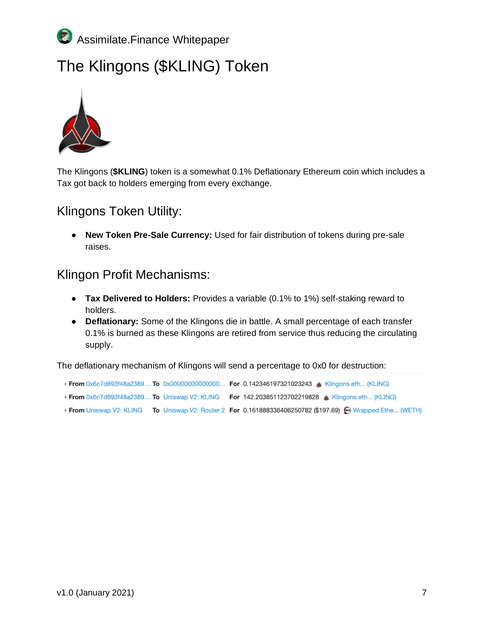

# <span id="page-6-0"></span>The Klingons (\$KLING) Token



The Klingons (**\$KLING**) token is a somewhat 0.1% Deflationary Ethereum coin which includes a Tax got back to holders emerging from every exchange.

#### <span id="page-6-1"></span>Klingons Token Utility:

● **New Token Pre-Sale Currency:** Used for fair distribution of tokens during pre-sale raises.

#### <span id="page-6-2"></span>Klingon Profit Mechanisms:

- **Tax Delivered to Holders:** Provides a variable (0.1% to 1%) self-staking reward to holders.
- **Deflationary:** Some of the Klingons die in battle. A small percentage of each transfer 0.1% is burned as these Klingons are retired from service thus reducing the circulating supply.

The deflationary mechanism of Klingons will send a percentage to 0x0 for destruction:

- From 0x6c7d893f48a2389... To 0x0000000000000... For 0.142346197321023243 & Klingons.eth... (KLING)
- From 0x6c7d893f48a2389... To Uniswap V2: KLING For 142.203851123702219828 & Klingons.eth... (KLING)
- From Uniswap V2: KLING To Uniswap V2: Router 2 For 0.161888336406250782 (\$197.69) Wrapped Ethe... (WETH)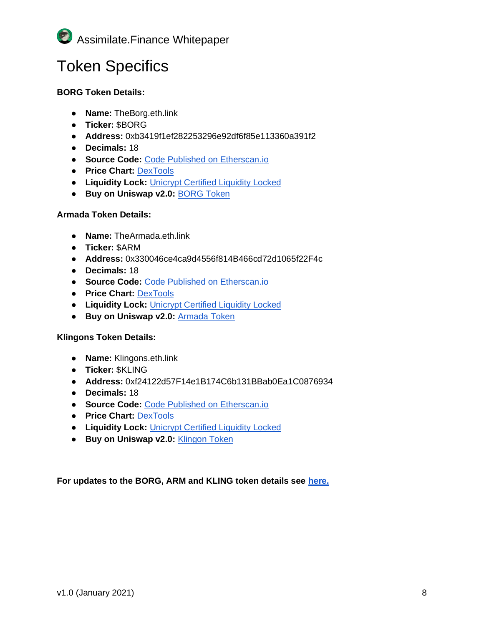

# <span id="page-7-0"></span>Token Specifics

#### **BORG Token Details:**

- **Name:** TheBorg.eth.link
- **Ticker:** \$BORG
- **Address:** 0xb3419f1ef282253296e92df6f85e113360a391f2
- **Decimals:** 18
- **Source Code[:](https://etherscan.io/address/0xb3419f1ef282253296e92df6f85e113360a391f2#code)** [Code Published on Etherscan.io](https://etherscan.io/address/0xb3419f1ef282253296e92df6f85e113360a391f2#code)
- **Price Chart[:](https://www.dextools.io/app/uniswap/pair-explorer/0x31c75845DA107F68DC745759Be9C6ddEAd5ee2F0)** [DexTools](https://www.dextools.io/app/uniswap/pair-explorer/0x31c75845DA107F68DC745759Be9C6ddEAd5ee2F0)
- **Liquidity Lock:** [Unicrypt Certified Liquidity](https://v2.unicrypt.network/pair/0x31c75845DA107F68DC745759Be9C6ddEAd5ee2F0) Locked
- **Buy on Uniswap v2.0[:](https://app.uniswap.org/#/swap?outputCurrency=0xb3419f1ef282253296e92df6f85e113360a391f2)** [BORG Token](https://app.uniswap.org/#/swap?outputCurrency=0xb3419f1ef282253296e92df6f85e113360a391f2)

#### **Armada Token Details:**

- **Name:** TheArmada.eth.link
- **Ticker:** \$ARM
- **Address:** 0x330046ce4ca9d4556f814B466cd72d1065f22F4c
- **Decimals:** 18
- **Source Code[:](https://etherscan.io/address/0x330046ce4ca9d4556f814B466cd72d1065f22F4c#code)** [Code Published on Etherscan.io](https://etherscan.io/address/0x330046ce4ca9d4556f814B466cd72d1065f22F4c#code)
- **Price Chart[:](https://www.dextools.io/app/uniswap/pair-explorer/0xa7ddf273e9d1eade13c6e5c51ffe35a23cd6feed)** [DexTools](https://www.dextools.io/app/uniswap/pair-explorer/0xa7ddf273e9d1eade13c6e5c51ffe35a23cd6feed)
- **Liquidity Lock:** [Unicrypt Certified Liquidity](https://v2.unicrypt.network/pair/0xa7ddf273e9d1eade13c6e5c51ffe35a23cd6feed) Locked
- **Buy on Uniswap v2.0[:](https://app.uniswap.org/#/swap?outputCurrency=0x330046ce4ca9d4556f814B466cd72d1065f22F4c)** [Armada Token](https://app.uniswap.org/#/swap?outputCurrency=0x330046ce4ca9d4556f814B466cd72d1065f22F4c)

#### **Klingons Token Details:**

- **Name:** Klingons.eth.link
- **Ticker:** \$KLING
- **Address:** 0xf24122d57F14e1B174C6b131BBab0Ea1C0876934
- **Decimals:** 18
- **Source Code[:](https://etherscan.io/address/0xf24122d57F14e1B174C6b131BBab0Ea1C0876934#code)** [Code Published on Etherscan.io](https://etherscan.io/address/0xf24122d57F14e1B174C6b131BBab0Ea1C0876934#code)
- **Price Chart[:](https://www.dextools.io/app/uniswap/pair-explorer/0x3aA2DAf0B4714E27b6924C8438DaC89772aBe889)** [DexTools](https://www.dextools.io/app/uniswap/pair-explorer/0x3aA2DAf0B4714E27b6924C8438DaC89772aBe889)
- **Liquidity Lock:** [Unicrypt Certified Liquidity](https://v2.unicrypt.network/pair/0x3aa2daf0b4714e27b6924c8438dac89772abe889) Locked
- **Buy on Uniswap v2.0[:](https://app.uniswap.org/#/swap?inputCurrency=ETH&outputCurrency=0xf24122d57f14e1b174c6b131bbab0ea1c0876934)** [Klingon Token](https://app.uniswap.org/#/swap?inputCurrency=ETH&outputCurrency=0xf24122d57f14e1b174c6b131bbab0ea1c0876934)

**For updates to the BORG, ARM and KLING token details see [here.](https://assimilate.finance/)**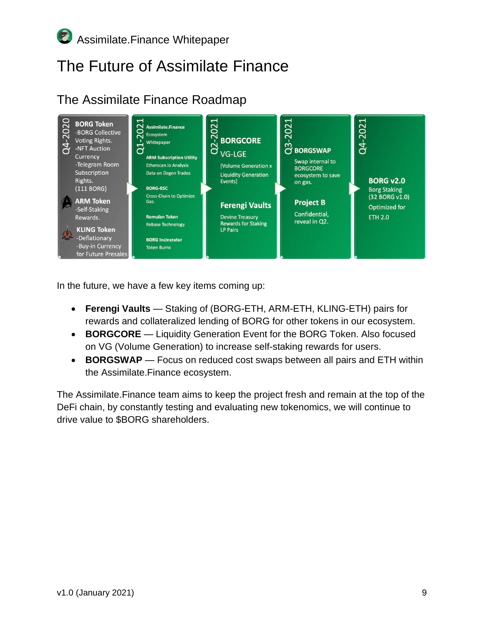# <span id="page-8-0"></span>The Future of Assimilate Finance

## <span id="page-8-1"></span>The Assimilate Finance Roadmap



In the future, we have a few key items coming up:

- **Ferengi Vaults** Staking of (BORG-ETH, ARM-ETH, KLING-ETH) pairs for rewards and collateralized lending of BORG for other tokens in our ecosystem.
- **BORGCORE** Liquidity Generation Event for the BORG Token. Also focused on VG (Volume Generation) to increase self-staking rewards for users.
- **BORGSWAP** Focus on reduced cost swaps between all pairs and ETH within the Assimilate.Finance ecosystem.

The Assimilate.Finance team aims to keep the project fresh and remain at the top of the DeFi chain, by constantly testing and evaluating new tokenomics, we will continue to drive value to \$BORG shareholders.